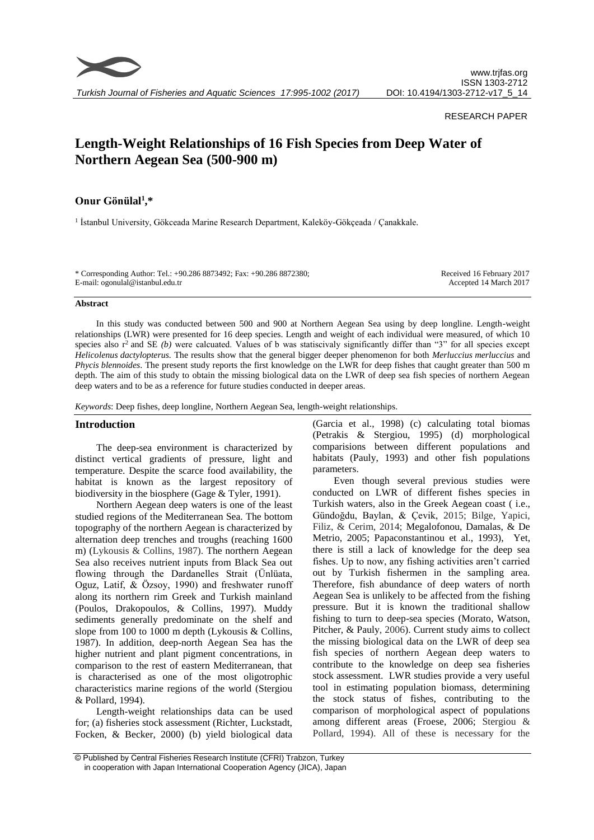

#### RESEARCH PAPER

# **Length-Weight Relationships of 16 Fish Species from Deep Water of Northern Aegean Sea (500-900 m)**

# **Onur Gönülal<sup>1</sup> ,\***

1 İstanbul University, Gökceada Marine Research Department, Kaleköy-Gökçeada / Çanakkale.

\* Corresponding Author: Tel.: +90.286 8873492; Fax: +90.286 8872380; E-mail: ogonulal@istanbul.edu.tr

Received 16 February 2017 Accepted 14 March 2017

#### **Abstract**

In this study was conducted between 500 and 900 at Northern Aegean Sea using by deep longline. Length-weight relationships (LWR) were presented for 16 deep species. Length and weight of each individual were measured, of which 10 species also  $r^2$  and SE *(b)* were calcuated. Values of b was statiscivaly significantly differ than "3" for all species except *Helicolenus dactylopterus.* The results show that the general bigger deeper phenomenon for both *Merluccius merluccius* and *Phycis blennoides*. The present study reports the first knowledge on the LWR for deep fishes that caught greater than 500 m depth. The aim of this study to obtain the missing biological data on the LWR of deep sea fish species of northern Aegean deep waters and to be as a reference for future studies conducted in deeper areas.

*Keywords*: Deep fishes, deep longline, Northern Aegean Sea, length-weight relationships.

#### **Introduction**

The deep-sea environment is characterized by distinct vertical gradients of pressure, light and temperature. Despite the scarce food availability, the habitat is known as the largest repository of biodiversity in the biosphere (Gage & Tyler, 1991).

Northern Aegean deep waters is one of the least studied regions of the Mediterranean Sea. The bottom topography of the northern Aegean is characterized by alternation deep trenches and troughs (reaching 1600 m) (Lykousis & Collins, 1987). The northern Aegean Sea also receives nutrient inputs from Black Sea out flowing through the Dardanelles Strait (Ünlüata, Oguz, Latif, & Özsoy, 1990) and freshwater runoff along its northern rim Greek and Turkish mainland (Poulos, Drakopoulos, & Collins, 1997). Muddy sediments generally predominate on the shelf and slope from 100 to 1000 m depth (Lykousis & Collins, 1987). In addition, deep-north Aegean Sea has the higher nutrient and plant pigment concentrations, in comparison to the rest of eastern Mediterranean, that is characterised as one of the most oligotrophic characteristics marine regions of the world (Stergiou & Pollard, 1994).

Length-weight relationships data can be used for; (a) fisheries stock assessment (Richter, Luckstadt, Focken, & Becker, 2000) (b) yield biological data

(Garcia et al., 1998) (c) calculating total biomas (Petrakis & Stergiou, 1995) (d) morphological comparisions between different populations and habitats (Pauly, 1993) and other fish populations parameters.

Even though several previous studies were conducted on LWR of different fishes species in Turkish waters, also in the Greek Aegean coast ( i.e., Gündoğdu, Baylan, & Çevik, 2015; Bilge, Yapici, Filiz, & Cerim, 2014; Megalofonou, Damalas, & De Metrio, 2005; Papaconstantinou et al., 1993), Yet, there is still a lack of knowledge for the deep sea fishes. Up to now, any fishing activities aren't carried out by Turkish fishermen in the sampling area. Therefore, fish abundance of deep waters of north Aegean Sea is unlikely to be affected from the fishing pressure. But it is known the traditional shallow fishing to turn to deep-sea species (Morato, Watson, Pitcher, & Pauly, 2006). Current study aims to collect the missing biological data on the LWR of deep sea fish species of northern Aegean deep waters to contribute to the knowledge on deep sea fisheries stock assessment. LWR studies provide a very useful tool in estimating population biomass, determining the stock status of fishes, contributing to the comparison of morphological aspect of populations among different areas (Froese, 2006; Stergiou & Pollard, 1994). All of these is necessary for the

<sup>©</sup> Published by Central Fisheries Research Institute (CFRI) Trabzon, Turkey in cooperation with Japan International Cooperation Agency (JICA), Japan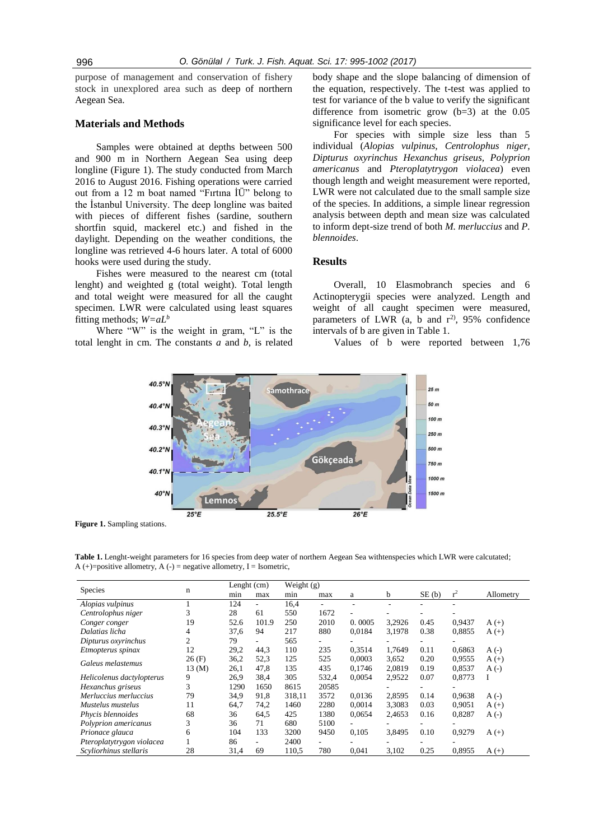purpose of management and conservation of fishery stock in unexplored area such as deep of northern Aegean Sea.

#### **Materials and Methods**

Samples were obtained at depths between 500 and 900 m in Northern Aegean Sea using deep longline (Figure 1). The study conducted from March 2016 to August 2016. Fishing operations were carried out from a 12 m boat named "Fırtına İÜ" belong to the İstanbul University. The deep longline was baited with pieces of different fishes (sardine, southern shortfin squid, mackerel etc.) and fished in the daylight. Depending on the weather conditions, the longline was retrieved 4-6 hours later. A total of 6000 hooks were used during the study.

Fishes were measured to the nearest cm (total lenght) and weighted g (total weight). Total length and total weight were measured for all the caught specimen. LWR were calculated using least squares fitting methods; *W=aL<sup>b</sup>*

Where "W" is the weight in gram, "L" is the total lenght in cm. The constants *a* and *b*, is related body shape and the slope balancing of dimension of the equation, respectively. The t-test was applied to test for variance of the b value to verify the significant difference from isometric grow (b=3) at the 0.05 significance level for each species.

For species with simple size less than 5 individual (*Alopias vulpinus, Centrolophus niger, Dipturus oxyrinchus Hexanchus griseus, Polyprion americanus* and *Pteroplatytrygon violacea*) even though length and weight measurement were reported, LWR were not calculated due to the small sample size of the species. In additions, a simple linear regression analysis between depth and mean size was calculated to inform dept-size trend of both *M. merluccius* and *P. blennoides*.

#### **Results**

Overall, 10 Elasmobranch species and 6 Actinopterygii species were analyzed. Length and weight of all caught specimen were measured, parameters of LWR (a, b and  $r^2$ ), 95% confidence intervals of b are given in Table 1.

Values of b were reported between 1,76



**Figure 1.** Sampling stations.

**Table 1.** Lenght-weight parameters for 16 species from deep water of northern Aegean Sea withtenspecies which LWR were calcutated; A  $(+)$ =positive allometry, A  $(-)$  = negative allometry, I = Isometric,

|                           | n           | Lenght (cm) |       | Weight $(g)$ |                          |        |        |       |        |            |
|---------------------------|-------------|-------------|-------|--------------|--------------------------|--------|--------|-------|--------|------------|
| Species                   |             | min         | max   | min          | max                      | a      | b      | SE(b) | $r^2$  | Allometry  |
| Alopias vulpinus          |             | 124         |       | 16,4         | $\overline{\phantom{0}}$ |        |        |       |        |            |
| Centrolophus niger        | 3           | 28          | 61    | 550          | 1672                     | ۰      |        |       |        |            |
| Conger conger             | 19          | 52.6        | 101.9 | 250          | 2010                     | 0.0005 | 3,2926 | 0.45  | 0,9437 | $A (+)$    |
| Dalatias licha            | 4           | 37,6        | 94    | 217          | 880                      | 0.0184 | 3,1978 | 0.38  | 0,8855 | $A (+)$    |
| Dipturus oxyrinchus       | 2           | 79          |       | 565          | ٠                        |        |        |       |        |            |
| Etmopterus spinax         | 12          | 29,2        | 44,3  | 110          | 235                      | 0.3514 | 1,7649 | 0.11  | 0,6863 | $A(\cdot)$ |
| Galeus melastemus         | 26(F)       | 36,2        | 52,3  | 125          | 525                      | 0.0003 | 3,652  | 0.20  | 0.9555 | $A (+)$    |
|                           | $13 \, (M)$ | 26,1        | 47.8  | 135          | 435                      | 0,1746 | 2,0819 | 0.19  | 0,8537 | $A(\cdot)$ |
| Helicolenus dactylopterus | 9           | 26.9        | 38.4  | 305          | 532,4                    | 0.0054 | 2,9522 | 0.07  | 0,8773 | I          |
| Hexanchus griseus         | 3           | 1290        | 1650  | 8615         | 20585                    |        |        |       |        |            |
| Merluccius merluccius     | 79          | 34.9        | 91,8  | 318,11       | 3572                     | 0.0136 | 2,8595 | 0.14  | 0,9638 | $A(-)$     |
| Mustelus mustelus         | 11          | 64,7        | 74,2  | 1460         | 2280                     | 0,0014 | 3,3083 | 0.03  | 0,9051 | $A (+)$    |
| Phycis blennoides         | 68          | 36          | 64,5  | 425          | 1380                     | 0,0654 | 2,4653 | 0.16  | 0,8287 | $A(\cdot)$ |
| Polyprion americanus      | 3           | 36          | 71    | 680          | 5100                     |        |        |       |        |            |
| Prionace glauca           | 6           | 104         | 133   | 3200         | 9450                     | 0,105  | 3,8495 | 0.10  | 0,9279 | $A (+)$    |
| Pteroplatytrygon violacea |             | 86          |       | 2400         | ٠                        |        |        |       |        |            |
| Scyliorhinus stellaris    | 28          | 31,4        | 69    | 110,5        | 780                      | 0,041  | 3,102  | 0.25  | 0,8955 | $A (+)$    |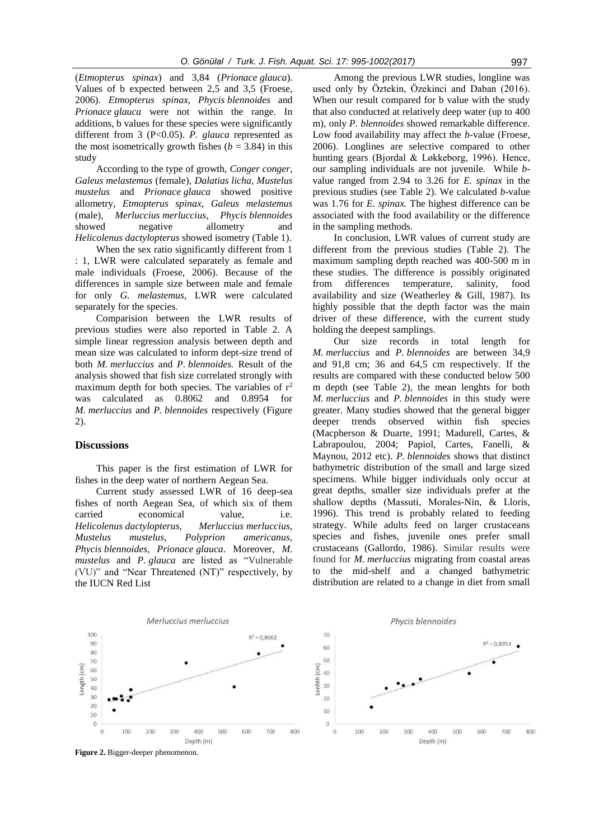(*Etmopterus spinax*) and 3,84 (*Prionace glauca*). Values of b expected between 2,5 and 3,5 (Froese, 2006). *Etmopterus spinax, Phycis blennoides* and *Prionace glauca* were not within the range. In additions, b values for these species were significantly different from 3 (P<0.05). *P. glauca* represented as the most isometrically growth fishes  $(b = 3.84)$  in this study

According to the type of growth, *Conger conger, Galeus melastemus* (female)*, Dalatias licha, Mustelus mustelus* and *Prionace glauca* showed positive allometry, *Etmopterus spinax, Galeus melastemus*  (male)*, Merluccius merluccius, Phycis blennoides* showed negative allometry and *Helicolenus dactylopterus* showed isometry (Table 1).

When the sex ratio significantly different from 1 : 1, LWR were calculated separately as female and male individuals (Froese, 2006). Because of the differences in sample size between male and female for only *G. melastemus,* LWR were calculated separately for the species.

Comparision between the LWR results of previous studies were also reported in Table 2. A simple linear regression analysis between depth and mean size was calculated to inform dept-size trend of both *M. merluccius* and *P. blennoides.* Result of the analysis showed that fish size correlated strongly with maximum depth for both species. The variables of  $r^2$ was calculated as 0.8062 and 0.8954 for *M. merluccius* and *P. blennoides* respectively (Figure 2).

#### **Discussions**

This paper is the first estimation of LWR for fishes in the deep water of northern Aegean Sea.

Current study assessed LWR of 16 deep-sea fishes of north Aegean Sea, of which six of them carried economical value, i.e. *Helicolenus dactylopterus, Merluccius merluccius, Mustelus mustelus, Polyprion americanus, Phycis blennoides, Prionace glauca*. Moreover, *M. mustelus* and *P. glauca* are listed as "Vulnerable (VU)" and "Near Threatened (NT)" respectively, by the IUCN Red List

Among the previous LWR studies, longline was used only by Öztekin, Özekinci and Daban (2016). When our result compared for b value with the study that also conducted at relatively deep water (up to 400 m), only *P. blennoides* showed remarkable difference. Low food availability may affect the *b*-value (Froese, 2006). Longlines are selective compared to other hunting gears (Bjordal & Løkkeborg, 1996). Hence, our sampling individuals are not juvenile. While *b*value ranged from 2.94 to 3.26 for *E. spinax* in the previous studies (see Table 2)*.* We calculated *b*-value was 1.76 for *E. spinax*. The highest difference can be associated with the food availability or the difference in the sampling methods.

In conclusion, LWR values of current study are different from the previous studies (Table 2). The maximum sampling depth reached was 400-500 m in these studies. The difference is possibly originated from differences temperature, salinity, food availability and size (Weatherley & Gill, 1987). Its highly possible that the depth factor was the main driver of these difference, with the current study holding the deepest samplings.

Our size records in total length for *M. merluccius* and *P. blennoides* are between 34,9 and 91,8 cm; 36 and 64,5 cm respectively. If the results are compared with these conducted below 500 m depth (see Table 2), the mean lenghts for both *M. merluccius* and *P. blennoides* in this study were greater. Many studies showed that the general bigger deeper trends observed within fish species (Macpherson & Duarte, 1991; Madurell, Cartes, & Labrapoulou, 2004; Papiol, Cartes, Fanelli, & Maynou, 2012 etc). *P. blennoides* shows that distinct bathymetric distribution of the small and large sized specimens. While bigger individuals only occur at great depths, smaller size individuals prefer at the shallow depths (Massutí, Morales-Nin, & Lloris, 1996). This trend is probably related to feeding strategy. While adults feed on larger crustaceans species and fishes, juvenile ones prefer small crustaceans (Gallordo, 1986). Similar results were found for *M. merluccius* migrating from coastal areas to the mid-shelf and a changed bathymetric distribution are related to a change in diet from small



**Figure 2.** Bigger-deeper phenomenon.

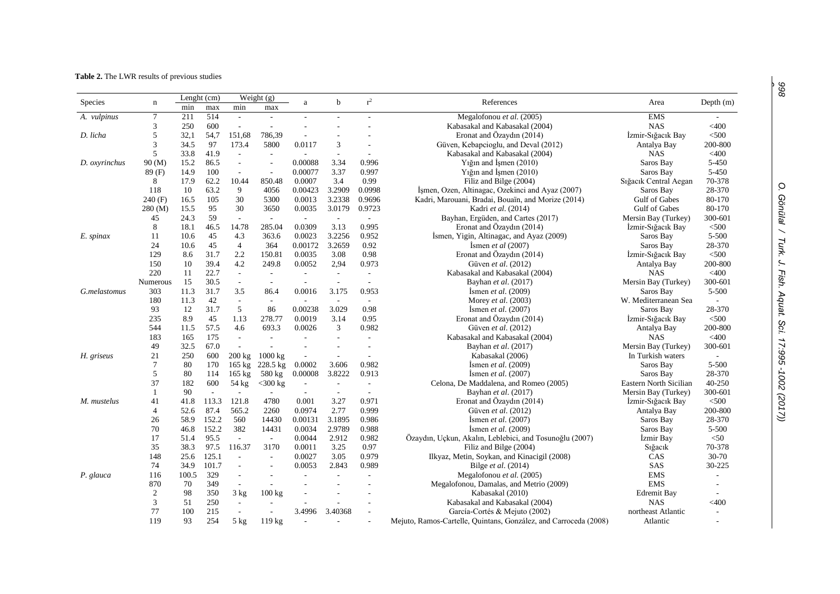## **Table 2.** The LWR results of previous studies

| Species       |                 | Lenght (cm) |       | Weight $(g)$             |                          |                          |                          | $r^2$                    |                                                                  |                        |                |
|---------------|-----------------|-------------|-------|--------------------------|--------------------------|--------------------------|--------------------------|--------------------------|------------------------------------------------------------------|------------------------|----------------|
|               | n               | min         | max   | min                      | max                      | a                        | $\mathbf b$              |                          | References                                                       | Area                   | Depth $(m)$    |
| A. vulpinus   | 7               | 211         | 514   | $\blacksquare$           | $\sim$                   | $\overline{\phantom{a}}$ |                          |                          | Megalofonou et al. (2005)                                        | <b>EMS</b>             |                |
|               | 3               | 250         | 600   | $\overline{\phantom{a}}$ | $\overline{a}$           |                          |                          |                          | Kabasakal and Kabasakal (2004)                                   | <b>NAS</b>             | $<$ 400        |
| D. licha      | 5               | 32,1        | 54,7  | 151,68                   | 786,39                   | $\overline{\phantom{a}}$ |                          |                          | Eronat and Özaydın (2014)                                        | İzmir-Sığacık Bay      | < 500          |
|               | 3               | 34.5        | 97    | 173.4                    | 5800                     | 0.0117                   | 3                        |                          | Güven, Kebapcioglu, and Deval (2012)                             | Antalya Bay            | 200-800        |
|               | 5               | 33.8        | 41.9  | $\overline{a}$           |                          |                          |                          |                          | Kabasakal and Kabasakal (2004)                                   | <b>NAS</b>             | $<$ 400        |
| D. oxyrinchus | 90 (M)          | 15.2        | 86.5  | $\sim$                   |                          | 0.00088                  | 3.34                     | 0.996                    | Yığın and İşmen (2010)                                           | Saros Bay              | 5-450          |
|               | 89(F)           | 14.9        | 100   | $\sim$                   | $\sim$                   | 0.00077                  | 3.37                     | 0.997                    | Y <sub>1</sub> g <sub>1</sub> and I <sub>smen</sub> $(2010)$     | Saros Bay              | 5-450          |
|               | 8               | 17.9        | 62.2  | 10.44                    | 850.48                   | 0.0007                   | 3.4                      | 0.99                     | Filiz and Bilge (2004)                                           | Sığacık Central Aegan  | 70-378         |
|               | 118             | 10          | 63.2  | 9                        | 4056                     | 0.00423                  | 3.2909                   | 0.0998                   | İşmen, Ozen, Altinagac, Ozekinci and Ayaz (2007)                 | Saros Bay              | 28-370         |
|               | 240(F)          | 16.5        | 105   | 30                       | 5300                     | 0.0013                   | 3.2338                   | 0.9696                   | Kadri, Marouani, Bradai, Bouaïn, and Morize (2014)               | Gulf of Gabes          | 80-170         |
|               | 280 (M)         | 15.5        | 95    | 30                       | 3650                     | 0.0035                   | 3.0179                   | 0.9723                   | Kadri et al. (2014)                                              | <b>Gulf of Gabes</b>   | 80-170         |
|               | 45              | 24.3        | 59    | $\mathcal{L}$            | $\sim$                   | $\overline{a}$           | $\sim$                   |                          | Bayhan, Ergüden, and Cartes (2017)                               | Mersin Bay (Turkey)    | 300-601        |
|               | 8               | 18.1        | 46.5  | 14.78                    | 285.04                   | 0.0309                   | 3.13                     | 0.995                    | Eronat and Özaydın (2014)                                        | Izmir-Sığacık Bay      | $500$          |
| E. spinax     | 11              | 10.6        | 45    | 4.3                      | 363.6                    | 0.0023                   | 3.2256                   | 0.952                    | İsmen, Yigin, Altinagac, and Ayaz (2009)                         | Saros Bay              | 5-500          |
|               | 24              | 10.6        | 45    | $\overline{4}$           | 364                      | 0.00172                  | 3.2659                   | 0.92                     | Ismen et al $(2007)$                                             | Saros Bay              | 28-370         |
|               | 129             | 8.6         | 31.7  | 2.2                      | 150.81                   | 0.0035                   | 3.08                     | 0.98                     | Eronat and Özaydın (2014)                                        | İzmir-Sığacık Bay      | $<$ 500        |
|               | 150             | 10          | 39.4  | 4.2                      | 249.8                    | 0.0052                   | 2,94                     | 0.973                    | Güven et al. (2012)                                              | Antalya Bay            | 200-800        |
|               | 220             | 11          | 22.7  | $\blacksquare$           | $\overline{\phantom{a}}$ | $\overline{a}$           | $\overline{\phantom{a}}$ | $\blacksquare$           | Kabasakal and Kabasakal (2004)                                   | <b>NAS</b>             | $<$ 400        |
|               | <b>Numerous</b> | 15          | 30.5  | $\blacksquare$           | $\sim$                   | ÷.                       |                          | $\sim$                   | Bayhan et al. (2017)                                             | Mersin Bay (Turkey)    | 300-601        |
| G.melastomus  | 303             | 11.3        | 31.7  | 3.5                      | 86.4                     | 0.0016                   | 3.175                    | 0.953                    | Ismen et al. $(2009)$                                            | Saros Bay              | 5-500          |
|               | 180             | 11.3        | 42    | $\overline{\phantom{a}}$ | $\sim$                   | $\overline{\phantom{a}}$ | $\sim$                   | $\overline{\phantom{a}}$ | Morey et al. (2003)                                              | W. Mediterranean Sea   |                |
|               | 93              | 12          | 31.7  | 5                        | 86                       | 0.00238                  | 3.029                    | 0.98                     | Ismen et al. $(2007)$                                            | Saros Bay              | 28-370         |
|               | 235             | 8.9         | 45    | 1.13                     | 278.77                   | 0.0019                   | 3.14                     | 0.95                     | Eronat and Özaydın (2014)                                        | İzmir-Sığacık Bay      | $<$ 500 $\,$   |
|               | 544             | 11.5        | 57.5  | 4.6                      | 693.3                    | 0.0026                   | 3                        | 0.982                    | Güven et al. (2012)                                              | Antalya Bay            | 200-800        |
|               | 183             | 165         | 175   | $\sim$                   | ÷.                       | $\sim$                   |                          |                          | Kabasakal and Kabasakal (2004)                                   | <b>NAS</b>             | $<$ 400        |
|               | 49              | 32.5        | 67.0  | $\sim$                   |                          |                          |                          |                          | Bayhan et al. (2017)                                             | Mersin Bay (Turkey)    | 300-601        |
| H. griseus    | 21              | 250         | 600   | $200$ kg                 | 1000 kg                  | $\overline{\phantom{a}}$ |                          | $\overline{\phantom{a}}$ | Kabasakal (2006)                                                 | In Turkish waters      | $\blacksquare$ |
|               | $\overline{7}$  | 80          | 170   | $165$ kg                 | $228.5 \text{ kg}$       | 0.0002                   | 3.606                    | 0.982                    | Ismen et al. $(2009)$                                            | Saros Bay              | 5-500          |
|               | 5               | 80          | 114   | $165 \text{ kg}$         | 580 kg                   | 0.00008                  | 3.8222                   | 0.913                    | Ismen et al. $(2007)$                                            | Saros Bay              | 28-370         |
|               | 37              | 182         | 600   | 54 kg                    | $<$ 300 kg               | $\sim$                   | $\sim$                   | $\sim$                   | Celona, De Maddalena, and Romeo (2005)                           | Eastern North Sicilian | 40-250         |
|               | $\mathbf{1}$    | 90          | ÷     |                          | ÷                        | $\overline{a}$           | $\sim$                   | $\sim$                   | Bayhan et al. (2017)                                             | Mersin Bay (Turkey)    | 300-601        |
| M. mustelus   | 41              | 41.8        | 113.3 | 121.8                    | 4780                     | 0.001                    | 3.27                     | 0.971                    | Eronat and Özaydın (2014)                                        | Izmir-Sığacık Bay      | $<$ 500        |
|               | $\overline{4}$  | 52.6        | 87.4  | 565.2                    | 2260                     | 0.0974                   | 2.77                     | 0.999                    | Güven et al. (2012)                                              | Antalya Bay            | 200-800        |
|               | 26              | 58.9        | 152.2 | 560                      | 14430                    | 0.00131                  | 3.1895                   | 0.986                    | Ismen et al. $(2007)$                                            | Saros Bay              | 28-370         |
|               | 70              | 46.8        | 152.2 | 382                      | 14431                    | 0.0034                   | 2.9789                   | 0.988                    | Ismen et al. $(2009)$                                            | Saros Bay              | 5-500          |
|               | 17              | 51.4        | 95.5  | $\sim$                   | $\sim$                   | 0.0044                   | 2.912                    | 0.982                    | Özaydın, Uçkun, Akalın, Leblebici, and Tosunoğlu (2007)          | İzmir Bay              | < 50           |
|               | 35              | 38.3        | 97.5  | 116.37                   | 3170                     | 0.0011                   | 3.25                     | 0.97                     | Filiz and Bilge (2004)                                           | Sığacık                | 70-378         |
|               | 148             | 25.6        | 125.1 | $\mathcal{L}$            | $\sim$                   | 0.0027                   | 3.05                     | 0.979                    | Ilkyaz, Metin, Soykan, and Kinacigil (2008)                      | CAS                    | 30-70          |
|               | 74              | 34.9        | 101.7 | $\sim$                   | $\overline{a}$           | 0.0053                   | 2.843                    | 0.989                    | Bilge et al. (2014)                                              | SAS                    | 30-225         |
| P. glauca     | 116             | 100.5       | 329   | $\blacksquare$           |                          | $\sim$                   |                          |                          | Megalofonou et al. (2005)                                        | <b>EMS</b>             |                |
|               | 870             | 70          | 349   | $\blacksquare$           |                          |                          |                          |                          | Megalofonou, Damalas, and Metrio (2009)                          | <b>EMS</b>             |                |
|               | 2               | 98          | 350   | 3 kg                     | 100 kg                   |                          |                          |                          | Kabasakal (2010)                                                 | <b>Edremit Bay</b>     |                |
|               | 3               | 51          | 250   | $\blacksquare$           |                          |                          |                          |                          | Kabasakal and Kabasakal (2004)                                   | <b>NAS</b>             | $<$ 400        |
|               | 77              | 100         | 215   | $\blacksquare$           |                          | 3.4996                   | 3.40368                  |                          | García-Cortés & Mejuto (2002)                                    | northeast Atlantic     |                |
|               | 119             | 93          | 254   | $5$ kg                   | 119 kg                   |                          |                          |                          | Mejuto, Ramos-Cartelle, Quintans, González, and Carroceda (2008) | Atlantic               |                |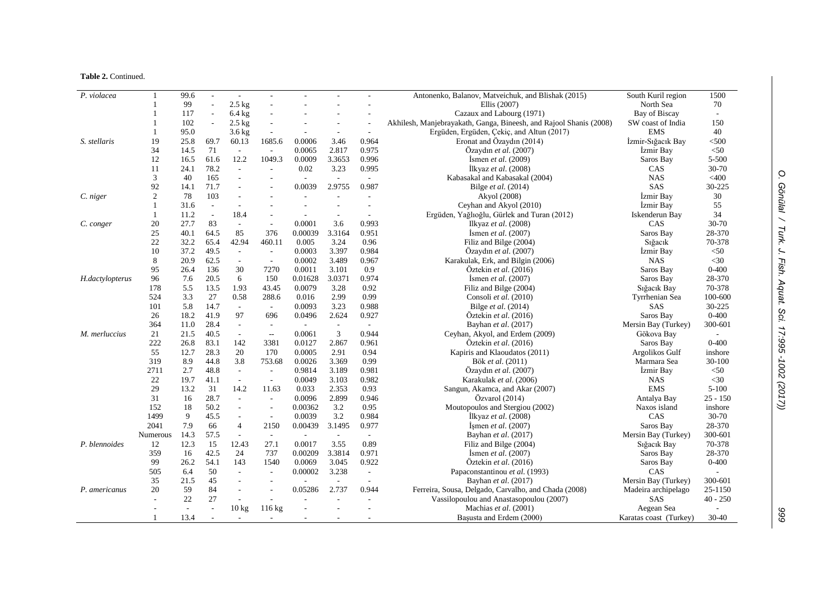## **Table 2.** Continued.

| $\overline{P}$ . violacea | $\mathbf{1}$   | 99.6 | $\sim$                   |                          |                          |                          |                             |                          | Antonenko, Balanov, Matveichuk, and Blishak (2015)                 | South Kuril region     | 1500                     |
|---------------------------|----------------|------|--------------------------|--------------------------|--------------------------|--------------------------|-----------------------------|--------------------------|--------------------------------------------------------------------|------------------------|--------------------------|
|                           |                | 99   | $\sim$                   | $2.5$ kg                 | L,                       |                          |                             |                          | Ellis (2007)                                                       | North Sea              | 70                       |
|                           |                | 117  |                          | $6.4 \text{ kg}$         |                          |                          |                             |                          | Cazaux and Labourg (1971)                                          | Bay of Biscay          | $\overline{\phantom{a}}$ |
|                           | 1              | 102  |                          | $2.5$ kg                 | L,                       |                          |                             | L.                       | Akhilesh, Manjebrayakath, Ganga, Bineesh, and Rajool Shanis (2008) | SW coast of India      | 150                      |
|                           | 1              | 95.0 |                          | $3.6 \text{ kg}$         | ÷,                       |                          | $\overline{\phantom{a}}$    | $\overline{\phantom{a}}$ | Ergüden, Ergüden, Çekiç, and Altun (2017)                          | <b>EMS</b>             | 40                       |
| S. stellaris              | 19             | 25.8 | 69.7                     | 60.13                    | 1685.6                   | 0.0006                   | 3.46                        | 0.964                    | Eronat and Özaydın (2014)                                          | İzmir-Sığacık Bay      | $<$ 500                  |
|                           | 34             | 14.5 | 71                       | $\overline{\phantom{a}}$ | $\sim$                   | 0.0065                   | 2.817                       | 0.975                    | Özaydın et al. (2007)                                              | İzmir Bay              | < 50                     |
|                           | 12             | 16.5 | 61.6                     | 12.2                     | 1049.3                   | 0.0009                   | 3.3653                      | 0.996                    | <i>Ismen et al.</i> (2009)                                         | Saros Bay              | 5-500                    |
|                           | 11             | 24.1 | 78.2                     | $\blacksquare$           | L.                       | 0.02                     | 3.23                        | 0.995                    | İlkyaz et al. (2008)                                               | CAS                    | 30-70                    |
|                           | 3              | 40   | 165                      |                          |                          |                          | $\overline{a}$              | $\mathcal{L}$            | Kabasakal and Kabasakal (2004)                                     | <b>NAS</b>             | $<$ 400                  |
|                           | 92             | 14.1 | 71.7                     |                          | $\overline{a}$           | 0.0039                   | 2.9755                      | 0.987                    | Bilge et al. (2014)                                                | SAS                    | 30-225                   |
| C. niger                  | $\overline{c}$ | 78   | 103                      | $\overline{a}$           |                          |                          |                             | ÷,                       | Akyol (2008)                                                       | İzmir Bay              | 30                       |
|                           | 1              | 31.6 | $\mathbf{r}$             |                          |                          |                          |                             | ÷.                       | Ceyhan and Akyol (2010)                                            | İzmir Bay              | 55                       |
|                           | 1              | 11.2 | $\overline{\phantom{a}}$ | 18.4                     | ÷,                       | $\overline{\phantom{a}}$ | $\overline{a}$              | $\overline{\phantom{a}}$ | Ergüden, Yağlıoğlu, Gürlek and Turan (2012)                        | Iskenderun Bay         | 34                       |
| C. conger                 | 20             | 27.7 | 83                       | $\blacksquare$           | $\overline{\phantom{a}}$ | 0.0001                   | 3.6                         | 0.993                    | Ilkyaz et al. (2008)                                               | CAS                    | 30-70                    |
|                           | 25             | 40.1 | 64.5                     | 85                       | 376                      | 0.00039                  | 3.3164                      | 0.951                    | Ismen et al. $(2007)$                                              | Saros Bay              | 28-370                   |
|                           | 22             | 32.2 | 65.4                     | 42.94                    | 460.11                   | 0.005                    | 3.24                        | 0.96                     | Filiz and Bilge (2004)                                             | Siğacık                | 70-378                   |
|                           | 10             | 37.2 | 49.5                     | $\overline{\phantom{a}}$ | $\overline{\phantom{a}}$ | 0.0003                   | 3.397                       | 0.984                    | Özaydın et al. (2007)                                              | Izmir Bay              | $<$ 50                   |
|                           | 8              | 20.9 | 62.5                     | $\overline{\phantom{a}}$ | $\sim$                   | 0.0002                   | 3.489                       | 0.967                    | Karakulak, Erk, and Bilgin (2006)                                  | <b>NAS</b>             | $<$ 30                   |
|                           | 95             | 26.4 | 136                      | 30                       | 7270                     | 0.0011                   | 3.101                       | 0.9                      | Öztekin et al. (2016)                                              | Saros Bay              | $0 - 400$                |
| H.dactylopterus           | 96             | 7.6  | 20.5                     | 6                        | 150                      | 0.01628                  | 3.0371                      | 0.974                    | Ismen et al. $(2007)$                                              | Saros Bay              | 28-370                   |
|                           | 178            | 5.5  | 13.5                     | 1.93                     | 43.45                    | 0.0079                   | 3.28                        | 0.92                     | Filiz and Bilge (2004)                                             | Sığacık Bay            | 70-378                   |
|                           | 524            | 3.3  | 27                       | 0.58                     | 288.6                    | 0.016                    | 2.99                        | 0.99                     | Consoli et al. (2010)                                              | Tyrrhenian Sea         | 100-600                  |
|                           | 101            | 5.8  | 14.7                     | $\mathcal{L}$            | $\sim$                   | 0.0093                   | 3.23                        | 0.988                    | Bilge et al. (2014)                                                | SAS                    | 30-225                   |
|                           | 26             | 18.2 | 41.9                     | 97                       | 696                      | 0.0496                   | 2.624                       | 0.927                    | Oztekin et al. (2016)                                              | Saros Bay              | $0 - 400$                |
|                           | 364            | 11.0 | 28.4                     | $\omega$                 | $\sim$                   | $\sim$                   | $\mathcal{L}_{\mathcal{A}}$ | $\mathbf{r}$             | Bayhan et al. (2017)                                               | Mersin Bay (Turkey)    | 300-601                  |
| M. merluccius             | 21             | 21.5 | 40.5                     | $\mathcal{L}$            | $\overline{a}$           | 0.0061                   | 3                           | 0.944                    | Ceyhan, Akyol, and Erdem (2009)                                    | Gökova Bay             |                          |
|                           | 222            | 26.8 | 83.1                     | 142                      | 3381                     | 0.0127                   | 2.867                       | 0.961                    | Öztekin et al. (2016)                                              | Saros Bay              | $0 - 400$                |
|                           | 55             | 12.7 | 28.3                     | 20                       | 170                      | 0.0005                   | 2.91                        | 0.94                     | Kapiris and Klaoudatos (2011)                                      | Argolikos Gulf         | inshore                  |
|                           | 319            | 8.9  | 44.8                     | 3.8                      | 753.68                   | 0.0026                   | 3.369                       | 0.99                     | Bök et al. (2011)                                                  | Marmara Sea            | 30-100                   |
|                           | 2711           | 2.7  | 48.8                     | $\mathbb{L}^2$           | $\overline{\phantom{a}}$ | 0.9814                   | 3.189                       | 0.981                    | Özaydın et al. (2007)                                              | İzmir Bay              | $<$ 50                   |
|                           | $22\,$         | 19.7 | 41.1                     | $\omega$                 | $\blacksquare$           | 0.0049                   | 3.103                       | 0.982                    | Karakulak et al. (2006)                                            | <b>NAS</b>             | $<$ 30                   |
|                           | 29             | 13.2 | 31                       | 14.2                     | 11.63                    | 0.033                    | 2.353                       | 0.93                     | Sangun, Akamca, and Akar (2007)                                    | <b>EMS</b>             | $5 - 100$                |
|                           | 31             | 16   | 28.7                     | $\mathcal{L}$            | ÷.                       | 0.0096                   | 2.899                       | 0.946                    | Ozvarol(2014)                                                      | Antalya Bay            | $25 - 150$               |
|                           | 152            | 18   | 50.2                     | $\sim$                   | $\overline{a}$           | 0.00362                  | 3.2                         | 0.95                     | Moutopoulos and Stergiou (2002)                                    | Naxos island           | inshore                  |
|                           | 1499           | 9    | 45.5                     | $\overline{\phantom{a}}$ | $\overline{\phantom{a}}$ | 0.0039                   | 3.2                         | 0.984                    | İlkyaz et al. (2008)                                               | CAS                    | 30-70                    |
|                           | 2041           | 7.9  | 66                       | $\overline{4}$           | 2150                     | 0.00439                  | 3.1495                      | 0.977                    | Ismen et al. $(2007)$                                              | Saros Bay              | 28-370                   |
|                           | Numerous       | 14.3 | 57.5                     | $\sim$                   | $\sim$                   | $\sim$                   | $\sim$                      | $\blacksquare$           | Bayhan et al. (2017)                                               | Mersin Bay (Turkey)    | 300-601                  |
| P. blennoides             | 12             | 12.3 | 15                       | 12.43                    | 27.1                     | 0.0017                   | 3.55                        | 0.89                     | Filiz and Bilge (2004)                                             | Sığacık Bay            | 70-378                   |
|                           | 359            | 16   | 42.5                     | 24                       | 737                      | 0.00209                  | 3.3814                      | 0.971                    | Ismen et al. $(2007)$                                              | Saros Bay              | 28-370                   |
|                           | 99             | 26.2 | 54.1                     | 143                      | 1540                     | 0.0069                   | 3.045                       | 0.922                    | Öztekin et al. (2016)                                              | Saros Bay              | $0 - 400$                |
|                           | 505            | 6.4  | 50                       | $\blacksquare$           | ÷,                       | 0.00002                  | 3.238                       | $\blacksquare$           | Papaconstantinou et al. (1993)                                     | CAS                    |                          |
|                           | 35             | 21.5 | 45                       | $\overline{\phantom{a}}$ | $\overline{\phantom{m}}$ |                          | $\overline{\phantom{a}}$    | $\overline{\phantom{a}}$ | Bayhan et al. (2017)                                               | Mersin Bay (Turkey)    | 300-601                  |
| P. americanus             | 20             | 59   | 84                       | $\sim$                   | L.                       | 0.05286                  | 2.737                       | 0.944                    | Ferreira, Sousa, Delgado, Carvalho, and Chada (2008)               | Madeira archipelago    | 25-1150                  |
|                           |                | 22   | 27                       |                          | L.                       |                          | ÷,                          | $\sim$                   | Vassilopoulou and Anastasopoulou (2007)                            | SAS                    | $40 - 250$               |
|                           |                | L,   | $\sim$                   | $10 \text{ kg}$          | $116 \text{ kg}$         |                          |                             |                          | Machias et al. (2001)                                              | Aegean Sea             |                          |
|                           |                | 13.4 |                          | $\sim$                   | ÷.                       | $\sim$                   | $\overline{a}$              | $\overline{\phantom{a}}$ | Başusta and Erdem (2000)                                           | Karatas coast (Turkey) | 30-40                    |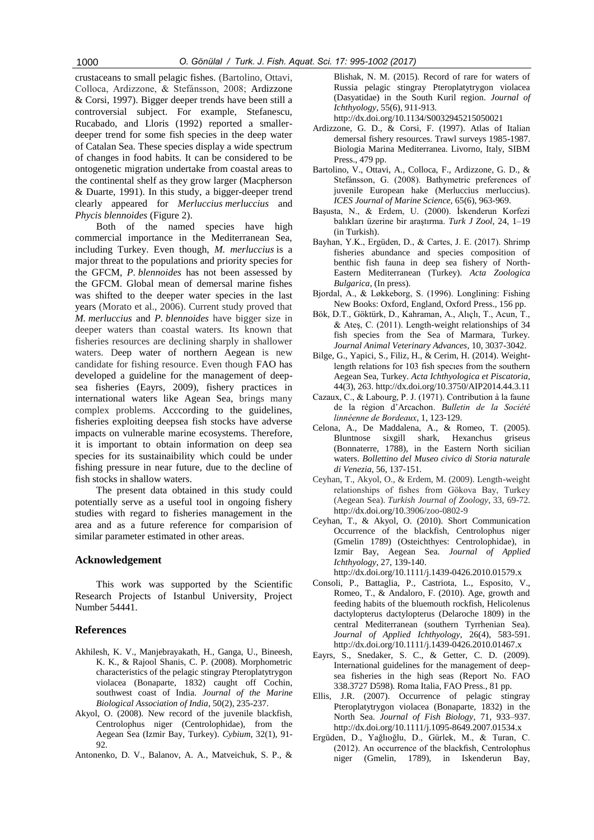crustaceans to small pelagic fishes. (Bartolino, Ottavi, Colloca, Ardizzone, & Stefánsson, 2008; Ardizzone & Corsi, 1997). Bigger deeper trends have been still a controversial subject. For example, Stefanescu, Rucabado, and Lloris (1992) reported a smallerdeeper trend for some fish species in the deep water of Catalan Sea. These species display a wide spectrum of changes in food habits. It can be considered to be ontogenetic migration undertake from coastal areas to the continental shelf as they grow larger (Macpherson & Duarte, 1991). In this study, a bigger-deeper trend clearly appeared for *Merluccius merluccius* and *Phycis blennoides* (Figure 2).

Both of the named species have high commercial importance in the Mediterranean Sea, including Turkey. Even though, *M. merluccius* is a major threat to the populations and priority species for the GFCM, *P. blennoides* has not been assessed by the GFCM. Global mean of demersal marine fishes was shifted to the deeper water species in the last years (Morato et al., 2006). Current study proved that *M. merluccius* and *P. blennoides* have bigger size in deeper waters than coastal waters. Its known that fisheries resources are declining sharply in shallower waters. Deep water of northern Aegean is new candidate for fishing resource. Even though FAO has developed a guideline for the management of deepsea fisheries (Eayrs, 2009), fishery practices in international waters like Agean Sea, brings many complex problems. Acccording to the guidelines, fisheries exploiting deepsea fish stocks have adverse impacts on vulnerable marine ecosystems. Therefore, it is important to obtain information on deep sea species for its sustainaibility which could be under fishing pressure in near future, due to the decline of fish stocks in shallow waters.

The present data obtained in this study could potentially serve as a useful tool in ongoing fishery studies with regard to fisheries management in the area and as a future reference for comparision of similar parameter estimated in other areas.

# **Acknowledgement**

This work was supported by the Scientific Research Projects of Istanbul University, Project Number 54441.

## **References**

- Akhilesh, K. V., Manjebrayakath, H., Ganga, U., Bineesh, K. K., & Rajool Shanis, C. P. (2008). Morphometric characteristics of the pelagic stingray Pteroplatytrygon violacea (Bonaparte, 1832) caught off Cochin, southwest coast of India. *Journal of the Marine Biological Association of India*, 50(2), 235-237.
- Akyol, O. (2008). New record of the juvenile blackfish, Centrolophus niger (Centrolophidae), from the Aegean Sea (Izmir Bay, Turkey). *Cybium*, 32(1), 91- 92.
- Antonenko, D. V., Balanov, A. A., Matveichuk, S. P., &

Blishak, N. M. (2015). Record of rare for waters of Russia pelagic stingray Pteroplatytrygon violacea (Dasyatidae) in the South Kuril region. *Journal of Ichthyology*, 55(6), 911-913.

http://dx.doi.org/10.1134/S0032945215050021

- Ardizzone, G. D., & Corsi, F. (1997). Atlas of Italian demersal fishery resources. Trawl surveys 1985-1987. Biologia Marina Mediterranea. Livorno, Italy, SIBM Press., 479 pp.
- Bartolino, V., Ottavi, A., Colloca, F., Ardizzone, G. D., & Stefánsson, G. (2008). Bathymetric preferences of juvenile European hake (Merluccius merluccius). *ICES Journal of Marine Science,* 65(6), 963-969.
- Başusta, N., & Erdem, U. (2000). İskenderun Korfezi balıkları üzerine bir araştırma. *Turk J Zool*, 24, 1–19 (in Turkish).
- Bayhan, Y.K., Ergüden, D., & Cartes, J. E. (2017). Shrimp fisheries abundance and species composition of benthic fish fauna in deep sea fishery of North-Eastern Mediterranean (Turkey). *Acta Zoologica Bulgarica*, (In press).
- Bjordal, A., & Løkkeborg, S. (1996). Longlining: Fishing New Books: Oxford, England, Oxford Press., 156 pp.
- Bök, D.T., Göktürk, D., Kahraman, A., Alıçlı, T., Acun, T., & Ateş, C. (2011). Length-weight relationships of 34 fish species from the Sea of Marmara, Turkey. *Journal Animal Veterinary Advances*, 10, 3037-3042.
- Bilge, G., Yapici, S., Filiz, H., & Cerim, H. (2014). Weightlength relations for 103 fish specıes from the southern Aegean Sea, Turkey. *Acta Ichthyologica et Piscatoria*, 44(3), 263. http://dx.doi.org/10.3750/AIP2014.44.3.11
- Cazaux, C., & Labourg, P. J. (1971). Contribution à la faune de la région d'Arcachon. *Bulletin de la Société linnéenne de Bordeaux*, 1, 123-129.
- Celona, A., De Maddalena, A., & Romeo, T. (2005). Bluntnose sixgill shark, Hexanchus griseus (Bonnaterre, 1788), in the Eastern North sicilian waters. *Bollettino del Museo civico di Storia naturale di Venezia*, 56, 137-151.
- Ceyhan, T., Akyol, O., & Erdem, M. (2009). Length-weight relationships of fishes from Gökova Bay, Turkey (Aegean Sea). *Turkish Journal of Zoology*, 33, 69-72. http://dx.doi.org/10.3906/zoo-0802-9
- Ceyhan, T., & Akyol, O. (2010). Short Communication Occurrence of the blackfish, Centrolophus niger (Gmelin 1789) (Osteichthyes: Centrolophidae), in Izmir Bay, Aegean Sea. *Journal of Applied Ichthyology*, 27, 139-140.

http://dx.doi.org/10.1111/j.1439-0426.2010.01579.x

- Consoli, P., Battaglia, P., Castriota, L., Esposito, V., Romeo, T., & Andaloro, F. (2010). Age, growth and feeding habits of the bluemouth rockfish, Helicolenus dactylopterus dactylopterus (Delaroche 1809) in the central Mediterranean (southern Tyrrhenian Sea). *Journal of Applied Ichthyology*, 26(4), 583-591. http://dx.doi.org/10.1111/j.1439-0426.2010.01467.x
- Eayrs, S., Snedaker, S. C., & Getter, C. D. (2009). International guidelines for the management of deepsea fisheries in the high seas (Report No. FAO 338.3727 D598). Roma Italia, FAO Press., 81 pp.
- Ellis, J.R. (2007). Occurrence of pelagic stingray Pteroplatytrygon violacea (Bonaparte, 1832) in the North Sea. *Journal of Fish Biology*, 71, 933–937. http://dx.doi.org/10.1111/j.1095-8649.2007.01534.x
- Ergüden, D., Yağlıoğlu, D., Gürlek, M., & Turan, C. (2012). An occurrence of the blackfish, Centrolophus niger (Gmelin, 1789), in Iskenderun Bay,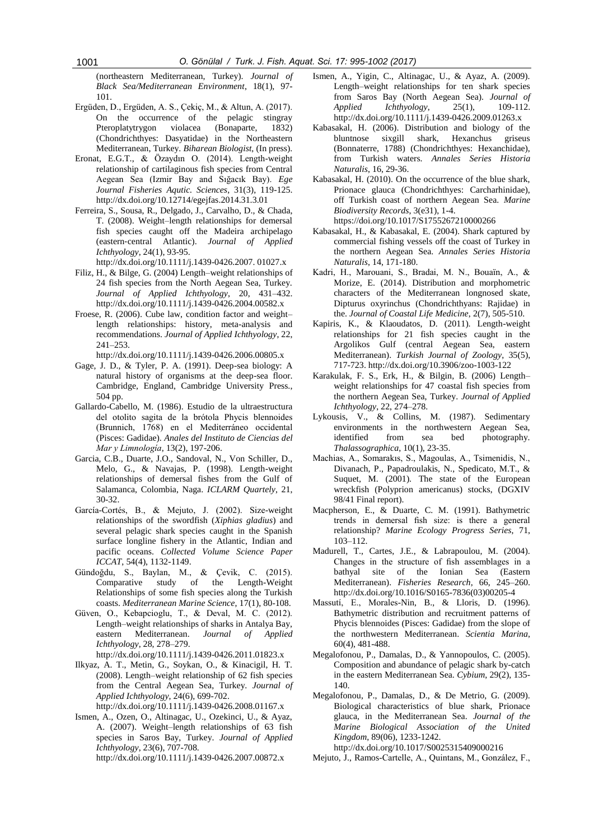(northeastern Mediterranean, Turkey). *Journal of Black Sea/Mediterranean Environment*, 18(1), 97- 101.

- Ergüden, D., Ergüden, A. S., Çekiç, M., & Altun, A. (2017). On the occurrence of the pelagic stingray Pteroplatytrygon violacea (Bonaparte, 1832) (Chondrichthyes: Dasyatidae) in the Northeastern Mediterranean, Turkey. *Biharean Biologist*, (In press).
- Eronat, E.G.T., & Özaydın O. (2014). Length-weight relationship of cartilaginous fish species from Central Aegean Sea (Izmir Bay and Sığacık Bay). *Ege Journal Fisheries Aqutic. Sciences*, 31(3), 119-125. http://dx.doi.org/10.12714/egejfas.2014.31.3.01
- Ferreira, S., Sousa, R., Delgado, J., Carvalho, D., & Chada, T. (2008). Weight–length relationships for demersal fish species caught off the Madeira archipelago (eastern‐central Atlantic). *Journal of Applied Ichthyology*, 24(1), 93-95.
- http://dx.doi.org/10.1111/j.1439-0426.2007. 01027.x
- Filiz, H., & Bilge, G. (2004) Length–weight relationships of 24 fish species from the North Aegean Sea, Turkey. *Journal of Applied Ichthyology*, 20, 431–432. http://dx.doi.org/10.1111/j.1439-0426.2004.00582.x
- Froese, R. (2006). Cube law, condition factor and weight– length relationships: history, meta-analysis and recommendations. *Journal of Applied Ichthyology*, 22, 241–253.
	- http://dx.doi.org/10.1111/j.1439-0426.2006.00805.x
- Gage, J. D., & Tyler, P. A. (1991). Deep-sea biology: A natural history of organisms at the deep-sea floor. Cambridge, England, Cambridge University Press., 504 pp.
- Gallardo-Cabello, M. (1986). Estudio de la ultraestructura del otolito sagita de la brótola Phycis blennoides (Brunnich, 1768) en el Mediterráneo occidental (Pisces: Gadidae). *Anales del Instituto de Ciencias del Mar y Limnología*, 13(2), 197-206.
- Garcia, C.B., Duarte, J.O., Sandoval, N., Von Schiller, D., Melo, G., & Navajas, P. (1998). Length-weight relationships of demersal fishes from the Gulf of Salamanca, Colombia, Naga. *ICLARM Quartely*, 21, 30-32.
- García-Cortés, B., & Mejuto, J. (2002). Size-weight relationships of the swordfish (*Xiphias gladius*) and several pelagic shark species caught in the Spanish surface longline fishery in the Atlantic, Indian and pacific oceans. *Collected Volume Science Paper ICCAT*, 54(4), 1132-1149.
- Gündoğdu, S., Baylan, M., & Çevik, C. (2015). Comparative study of the Length-Weight Relationships of some fish species along the Turkish coasts. *Mediterranean Marine Science*, 17(1), 80-108.
- Güven, O., Kebapcioglu, T., & Deval, M. C. (2012). Length–weight relationships of sharks in Antalya Bay, eastern Mediterranean. *Journal of Applied Ichthyology*, 28, 278–279.
	- http://dx.doi.org/10.1111/j.1439-0426.2011.01823.x
- Ilkyaz, A. T., Metin, G., Soykan, O., & Kinacigil, H. T. (2008). Length–weight relationship of 62 fish species from the Central Aegean Sea, Turkey. *Journal of Applied Ichthyology*, 24(6), 699-702.

http://dx.doi.org/10.1111/j.1439-0426.2008.01167.x

Ismen, A., Ozen, O., Altinagac, U., Ozekinci, U., & Ayaz, A. (2007). Weight–length relationships of 63 fish species in Saros Bay, Turkey. *Journal of Applied Ichthyology*, 23(6), 707-708. http://dx.doi.org/10.1111/j.1439-0426.2007.00872.x

- Ismen, A., Yigin, C., Altinagac, U., & Ayaz, A. (2009). Length–weight relationships for ten shark species from Saros Bay (North Aegean Sea). *Journal of Applied Ichthyology*, 25(1), 109-112. http://dx.doi.org/10.1111/j.1439-0426.2009.01263.x
- Kabasakal, H. (2006). Distribution and biology of the bluntnose sixgill shark, Hexanchus griseus (Bonnaterre, 1788) (Chondrichthyes: Hexanchidae), from Turkish waters. *Annales Series Historia Naturalis*, 16, 29-36.
- Kabasakal, H. (2010). On the occurrence of the blue shark, Prionace glauca (Chondrichthyes: Carcharhinidae), off Turkish coast of northern Aegean Sea. *Marine Biodiversity Records*, 3(e31), 1-4. https://doi.org/10.1017/S1755267210000266
- Kabasakal, H., & Kabasakal, E. (2004). Shark captured by commercial fishing vessels off the coast of Turkey in the northern Aegean Sea. *Annales Series Historia Naturalis*, 14, 171-180.
- Kadri, H., Marouani, S., Bradai, M. N., Bouaïn, A., & Morize, E. (2014). Distribution and morphometric characters of the Mediterranean longnosed skate, Dipturus oxyrinchus (Chondrichthyans: Rajidae) in the. *Journal of Coastal Life Medicine*, 2(7), 505-510.
- Kapiris, K., & Klaoudatos, D. (2011). Length-weight relationships for 21 fish species caught in the Argolikos Gulf (central Aegean Sea, eastern Mediterranean). *Turkish Journal of Zoology*, 35(5), 717-723. http://dx.doi.org/10.3906/zoo-1003-122
- Karakulak, F. S., Erk, H., & Bilgin, B. (2006) Length– weight relationships for 47 coastal fish species from the northern Aegean Sea, Turkey. *Journal of Applied Ichthyology*, 22, 274–278.
- Lykousis, V., & Collins, M. (1987). Sedimentary environments in the northwestern Aegean Sea, identified from sea bed photography. *Thalassographica*, 10(1), 23-35.
- Machias, A., Somarakıs, S., Magoulas, A., Tsimenidis, N., Divanach, P., Papadroulakis, N., Spedicato, M.T., & Suquet, M. (2001). The state of the European wreckfish (Polyprion americanus) stocks, (DGXIV 98/41 Final report).
- Macpherson, E., & Duarte, C. M. (1991). Bathymetric trends in demersal fish size: is there a general relationship? *Marine Ecology Progress Series*, 71, 103–112.
- Madurell, T., Cartes, J.E., & Labrapoulou, M. (2004). Changes in the structure of fish assemblages in a bathyal site of the Ionian Sea (Eastern Mediterranean). *Fisheries Research*, 66, 245–260. http://dx.doi.org/10.1016/S0165-7836(03)00205-4
- Massutí, E., Morales-Nin, B., & Lloris, D. (1996). Bathymetric distribution and recruitment patterns of Phycis blennoides (Pisces: Gadidae) from the slope of the northwestern Mediterranean. *Scientia Marina*, 60(4), 481-488.
- Megalofonou, P., Damalas, D., & Yannopoulos, C. (2005). Composition and abundance of pelagic shark by-catch in the eastern Mediterranean Sea. *Cybium*, 29(2), 135- 140.
- Megalofonou, P., Damalas, D., & De Metrio, G. (2009). Biological characteristics of blue shark, Prionace glauca, in the Mediterranean Sea. *Journal of the Marine Biological Association of the United Kingdom*, 89(06), 1233-1242. http://dx.doi.org/10.1017/S0025315409000216
- Mejuto, J., Ramos-Cartelle, A., Quintans, M., González, F.,